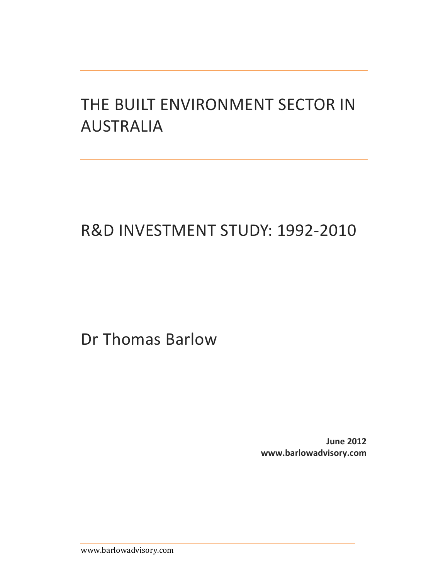# THE BUILT ENVIRONMENT SECTOR IN AUSTRALIA

# R&D INVESTMENT STUDY: 1992‐2010

Dr Thomas Barlow

**June 2012 www.barlowadvisory.com**

www.barlowadvisory.com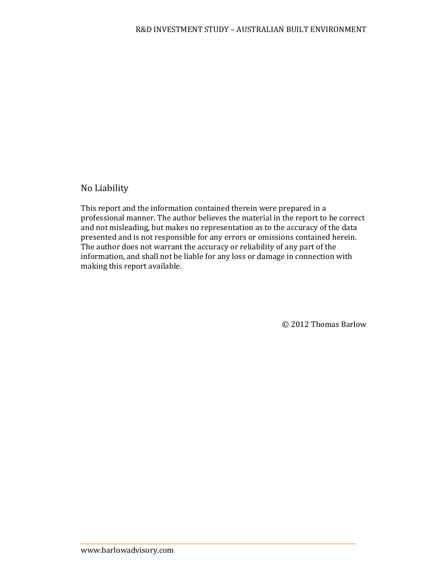## No Liability

This report and the information contained therein were prepared in a professional manner. The author believes the material in the report to be correct and not misleading, but makes no representation as to the accuracy of the data presented and is not responsible for any errors or omissions contained herein. The author does not warrant the accuracy or reliability of any part of the information, and shall not be liable for any loss or damage in connection with making this report available.

© 2012 Thomas Barlow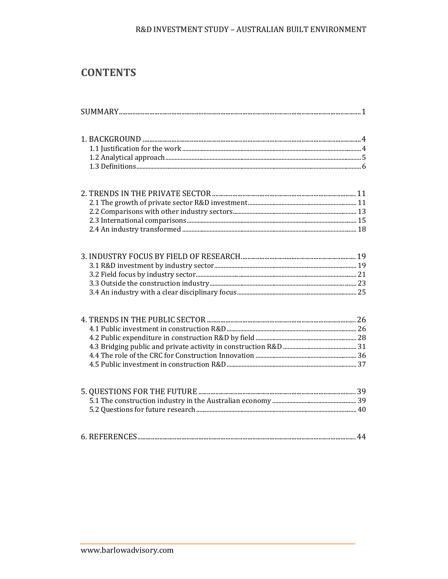### R&D INVESTMENT STUDY - AUSTRALIAN BUILT ENVIRONMENT

# **CONTENTS**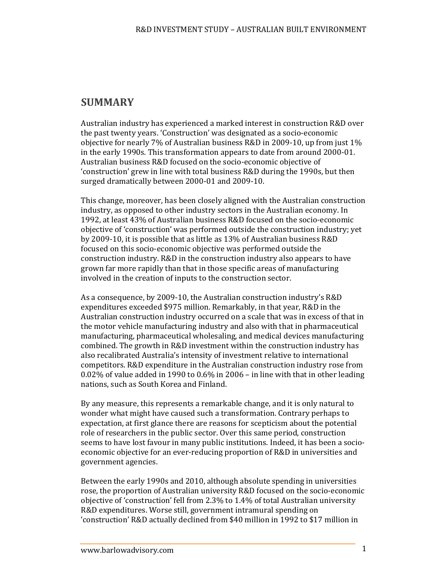# **SUMMARY**

Australian industry has experienced a marked interest in construction R&D over the past twenty years. 'Construction' was designated as a socio-economic objective for nearly  $7\%$  of Australian business R&D in 2009-10, up from just  $1\%$ in the early 1990s. This transformation appears to date from around 2000-01. Australian business R&D focused on the socio-economic objective of 'construction' grew in line with total business R&D during the 1990s, but then surged dramatically between 2000-01 and 2009-10.

This change, moreover, has been closely aligned with the Australian construction industry, as opposed to other industry sectors in the Australian economy. In 1992, at least 43% of Australian business R&D focused on the socio-economic objective of 'construction' was performed outside the construction industry; yet by 2009-10, it is possible that as little as 13% of Australian business R&D focused on this socio-economic objective was performed outside the construction industry. R&D in the construction industry also appears to have grown far more rapidly than that in those specific areas of manufacturing involved in the creation of inputs to the construction sector.

As a consequence, by 2009-10, the Australian construction industry's R&D expenditures exceeded \$975 million. Remarkably, in that year, R&D in the Australian construction industry occurred on a scale that was in excess of that in the motor vehicle manufacturing industry and also with that in pharmaceutical manufacturing, pharmaceutical wholesaling, and medical devices manufacturing combined. The growth in R&D investment within the construction industry has also recalibrated Australia's intensity of investment relative to international competitors. R&D expenditure in the Australian construction industry rose from 0.02% of value added in 1990 to 0.6% in 2006 – in line with that in other leading nations, such as South Korea and Finland.

By any measure, this represents a remarkable change, and it is only natural to wonder what might have caused such a transformation. Contrary perhaps to expectation, at first glance there are reasons for scepticism about the potential role of researchers in the public sector. Over this same period, construction seems to have lost favour in many public institutions. Indeed, it has been a socioeconomic objective for an ever-reducing proportion of R&D in universities and government agencies.

Between the early 1990s and 2010, although absolute spending in universities rose, the proportion of Australian university R&D focused on the socio-economic objective of 'construction' fell from 2.3% to  $1.4%$  of total Australian university R&D expenditures. Worse still, government intramural spending on 'construction' R&D actually declined from \$40 million in 1992 to \$17 million in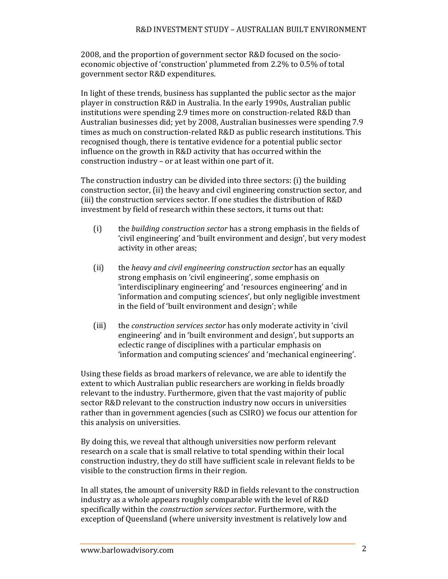2008, and the proportion of government sector R&D focused on the socioeconomic objective of 'construction' plummeted from 2.2% to 0.5% of total government sector R&D expenditures.

In light of these trends, business has supplanted the public sector as the major player in construction R&D in Australia. In the early 1990s, Australian public institutions were spending 2.9 times more on construction-related R&D than Australian businesses did; yet by 2008, Australian businesses were spending 7.9 times as much on construction-related R&D as public research institutions. This recognised though, there is tentative evidence for a potential public sector influence on the growth in R&D activity that has occurred within the construction industry  $-$  or at least within one part of it.

The construction industry can be divided into three sectors: (i) the building construction sector, (ii) the heavy and civil engineering construction sector, and (iii) the construction services sector. If one studies the distribution of R&D investment by field of research within these sectors, it turns out that:

- (i) the *building* construction sector has a strong emphasis in the fields of 'civil engineering' and 'built environment and design', but very modest activity in other areas;
- (ii) the *heavy* and *civil engineering* construction sector has an equally strong emphasis on 'civil engineering', some emphasis on 'interdisciplinary engineering' and 'resources engineering' and in 'information and computing sciences', but only negligible investment in the field of 'built environment and design'; while
- (iii) the *construction services sector* has only moderate activity in 'civil engineering' and in 'built environment and design', but supports an eclectic range of disciplines with a particular emphasis on 'information and computing sciences' and 'mechanical engineering'.

Using these fields as broad markers of relevance, we are able to identify the extent to which Australian public researchers are working in fields broadly relevant to the industry. Furthermore, given that the vast majority of public sector R&D relevant to the construction industry now occurs in universities rather than in government agencies (such as CSIRO) we focus our attention for this analysis on universities.

By doing this, we reveal that although universities now perform relevant research on a scale that is small relative to total spending within their local construction industry, they do still have sufficient scale in relevant fields to be visible to the construction firms in their region.

In all states, the amount of university R&D in fields relevant to the construction industry as a whole appears roughly comparable with the level of R&D specifically within the *construction services sector*. Furthermore, with the exception of Queensland (where university investment is relatively low and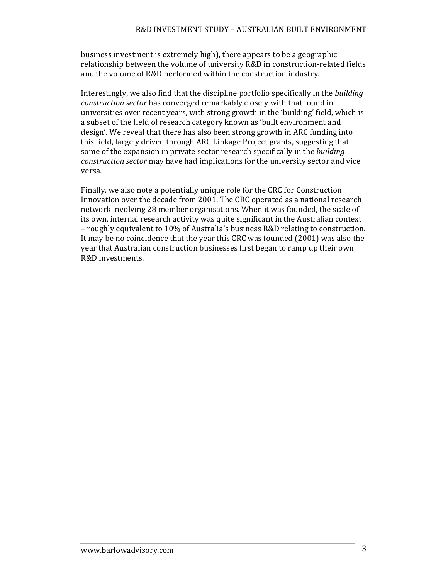business investment is extremely high), there appears to be a geographic relationship between the volume of university R&D in construction-related fields and the volume of R&D performed within the construction industry.

Interestingly, we also find that the discipline portfolio specifically in the *building construction sector* has converged remarkably closely with that found in universities over recent years, with strong growth in the 'building' field, which is a subset of the field of research category known as 'built environment and design'. We reveal that there has also been strong growth in ARC funding into this field, largely driven through ARC Linkage Project grants, suggesting that some of the expansion in private sector research specifically in the *building construction sector* may have had implications for the university sector and vice versa. 

Finally, we also note a potentially unique role for the CRC for Construction Innovation over the decade from 2001. The CRC operated as a national research network involving 28 member organisations. When it was founded, the scale of its own, internal research activity was quite significant in the Australian context – roughly equivalent to 10% of Australia's business R&D relating to construction. It may be no coincidence that the year this CRC was founded  $(2001)$  was also the year that Australian construction businesses first began to ramp up their own R&D investments.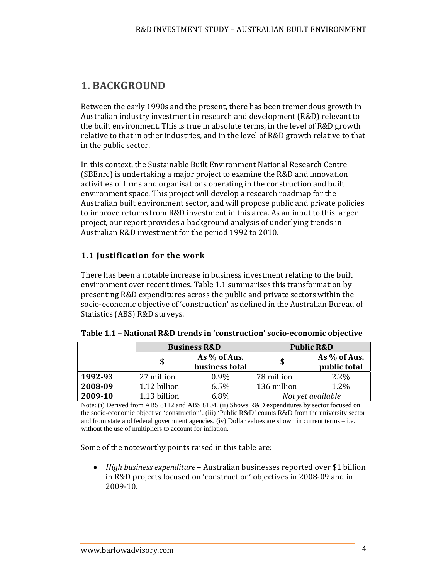# **1. BACKGROUND**

Between the early 1990s and the present, there has been tremendous growth in Australian industry investment in research and development (R&D) relevant to the built environment. This is true in absolute terms, in the level of  $R&D$  growth relative to that in other industries, and in the level of  $R&D$  growth relative to that in the public sector.

In this context, the Sustainable Built Environment National Research Centre (SBEnrc) is undertaking a major project to examine the R&D and innovation activities of firms and organisations operating in the construction and built environment space. This project will develop a research roadmap for the Australian built environment sector, and will propose public and private policies to improve returns from R&D investment in this area. As an input to this larger project, our report provides a background analysis of underlying trends in Australian R&D investment for the period 1992 to 2010.

### **1.1 Justification for the work**

There has been a notable increase in business investment relating to the built environment over recent times. Table 1.1 summarises this transformation by presenting R&D expenditures across the public and private sectors within the socio-economic objective of 'construction' as defined in the Australian Bureau of Statistics (ABS) R&D surveys.

|         | <b>Business R&amp;D</b> |                | <b>Public R&amp;D</b> |                   |
|---------|-------------------------|----------------|-----------------------|-------------------|
|         | As % of Aus.            |                |                       | As % of Aus.      |
|         |                         | business total |                       | public total      |
| 1992-93 | 27 million              | $0.9\%$        | 78 million            | $2.2\%$           |
| 2008-09 | 1.12 billion            | 6.5%           | 136 million           | 1.2%              |
| 2009-10 | 1.13 billion            | 6.8%           |                       | Not yet available |

|  |  |  |  | Table 1.1 - National R&D trends in 'construction' socio-economic objective |  |
|--|--|--|--|----------------------------------------------------------------------------|--|
|--|--|--|--|----------------------------------------------------------------------------|--|

Note: (i) Derived from ABS 8112 and ABS 8104. (ii) Shows R&D expenditures by sector focused on the socio-economic objective 'construction'. (iii) 'Public R&D' counts R&D from the university sector and from state and federal government agencies. (iv) Dollar values are shown in current terms – i.e. without the use of multipliers to account for inflation.

Some of the noteworthy points raised in this table are:

• *High business expenditure* – Australian businesses reported over \$1 billion in R&D projects focused on 'construction' objectives in 2008-09 and in 2009‐10.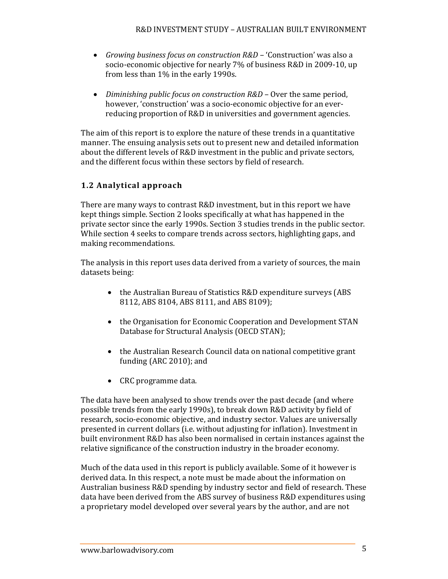- *Growing business focus on construction R&D* – 'Construction' was also a socio-economic objective for nearly 7% of business R&D in 2009-10, up from less than  $1\%$  in the early 1990s.
- Diminishing *public focus on construction R&D* Over the same period, however, 'construction' was a socio-economic objective for an everreducing proportion of R&D in universities and government agencies.

The aim of this report is to explore the nature of these trends in a quantitative manner. The ensuing analysis sets out to present new and detailed information about the different levels of R&D investment in the public and private sectors, and the different focus within these sectors by field of research.

## **1.2 Analytical approach**

There are many ways to contrast R&D investment, but in this report we have kept things simple. Section 2 looks specifically at what has happened in the private sector since the early 1990s. Section 3 studies trends in the public sector. While section 4 seeks to compare trends across sectors, highlighting gaps, and making recommendations.

The analysis in this report uses data derived from a variety of sources, the main datasets being:

- the Australian Bureau of Statistics R&D expenditure surveys (ABS 8112, ABS 8104, ABS 8111, and ABS 8109);
- the Organisation for Economic Cooperation and Development STAN Database for Structural Analysis (OECD STAN);
- the Australian Research Council data on national competitive grant funding  $(ARC 2010)$ ; and
- CRC programme data.

The data have been analysed to show trends over the past decade (and where possible trends from the early 1990s), to break down R&D activity by field of research, socio-economic objective, and industry sector. Values are universally presented in current dollars (i.e. without adjusting for inflation). Investment in built environment R&D has also been normalised in certain instances against the relative significance of the construction industry in the broader economy.

Much of the data used in this report is publicly available. Some of it however is derived data. In this respect, a note must be made about the information on Australian business R&D spending by industry sector and field of research. These data have been derived from the ABS survey of business R&D expenditures using a proprietary model developed over several years by the author, and are not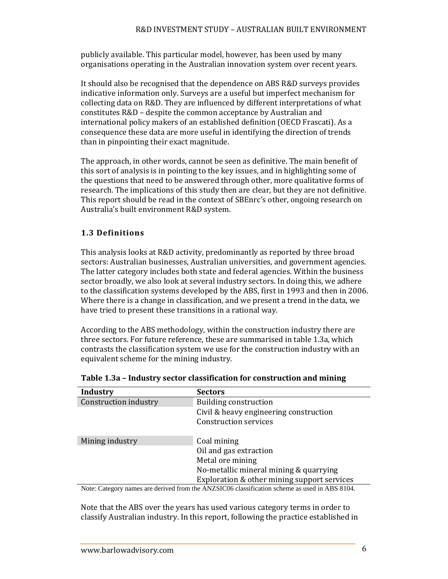publicly available. This particular model, however, has been used by many organisations operating in the Australian innovation system over recent years.

It should also be recognised that the dependence on ABS R&D surveys provides indicative information only. Surveys are a useful but imperfect mechanism for collecting data on R&D. They are influenced by different interpretations of what constitutes R&D - despite the common acceptance by Australian and international policy makers of an established definition (OECD Frascati). As a consequence these data are more useful in identifying the direction of trends than in pinpointing their exact magnitude.

The approach, in other words, cannot be seen as definitive. The main benefit of this sort of analysis is in pointing to the key issues, and in highlighting some of the questions that need to be answered through other, more qualitative forms of research. The implications of this study then are clear, but they are not definitive. This report should be read in the context of SBEnrc's other, ongoing research on Australia's built environment R&D system.

## **1.3 Definitions**

This analysis looks at R&D activity, predominantly as reported by three broad sectors: Australian businesses, Australian universities, and government agencies. The latter category includes both state and federal agencies. Within the business sector broadly, we also look at several industry sectors. In doing this, we adhere to the classification systems developed by the ABS, first in 1993 and then in 2006. Where there is a change in classification, and we present a trend in the data, we have tried to present these transitions in a rational way.

According to the ABS methodology, within the construction industry there are three sectors. For future reference, these are summarised in table 1.3a, which contrasts the classification system we use for the construction industry with an equivalent scheme for the mining industry.

| <b>Sectors</b>                              |
|---------------------------------------------|
| <b>Building construction</b>                |
| Civil & heavy engineering construction      |
| <b>Construction services</b>                |
| Coal mining                                 |
| Oil and gas extraction                      |
| Metal ore mining                            |
| No-metallic mineral mining & quarrying      |
| Exploration & other mining support services |
|                                             |

**Table 1.3a – Industry sector classification for construction and mining**

Note: Category names are derived from the ANZSIC06 classification scheme as used in ABS 8104.

Note that the ABS over the years has used various category terms in order to classify Australian industry. In this report, following the practice established in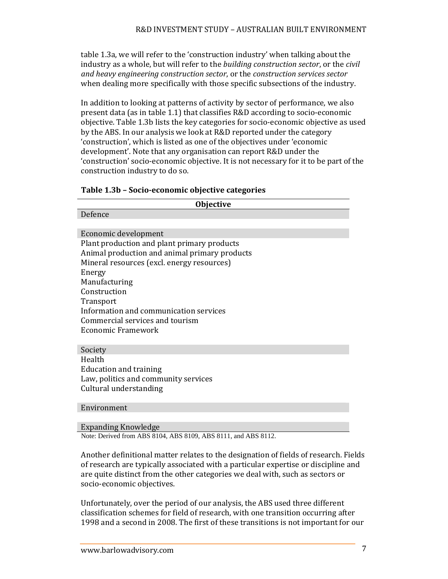table 1.3a, we will refer to the 'construction industry' when talking about the industry as a whole, but will refer to the *building construction sector*, or the *civil and heavy engineering construction sector*, or the *construction services sector* when dealing more specifically with those specific subsections of the industry.

In addition to looking at patterns of activity by sector of performance, we also present data (as in table 1.1) that classifies R&D according to socio-economic objective. Table 1.3b lists the key categories for socio-economic objective as used by the ABS. In our analysis we look at R&D reported under the category 'construction', which is listed as one of the objectives under 'economic development'. Note that any organisation can report R&D under the 'construction' socio-economic objective. It is not necessary for it to be part of the construction industry to do so.

| <b>Objective</b>                              |  |  |  |
|-----------------------------------------------|--|--|--|
| Defence                                       |  |  |  |
|                                               |  |  |  |
| Economic development                          |  |  |  |
| Plant production and plant primary products   |  |  |  |
| Animal production and animal primary products |  |  |  |
| Mineral resources (excl. energy resources)    |  |  |  |
| Energy                                        |  |  |  |
| Manufacturing                                 |  |  |  |
| Construction                                  |  |  |  |
| Transport                                     |  |  |  |
| Information and communication services        |  |  |  |
| Commercial services and tourism               |  |  |  |
| Economic Framework                            |  |  |  |
|                                               |  |  |  |
| Society                                       |  |  |  |
| Health                                        |  |  |  |
| Education and training                        |  |  |  |
| Law, politics and community services          |  |  |  |
| Cultural understanding                        |  |  |  |
|                                               |  |  |  |
| $\mathbf{r}$ . The state $\mathbf{r}$         |  |  |  |

Environment 

Expanding Knowledge

Note: Derived from ABS 8104, ABS 8109, ABS 8111, and ABS 8112.

Another definitional matter relates to the designation of fields of research. Fields of research are typically associated with a particular expertise or discipline and are quite distinct from the other categories we deal with, such as sectors or socio-economic objectives.

Unfortunately, over the period of our analysis, the ABS used three different classification schemes for field of research, with one transition occurring after 1998 and a second in 2008. The first of these transitions is not important for our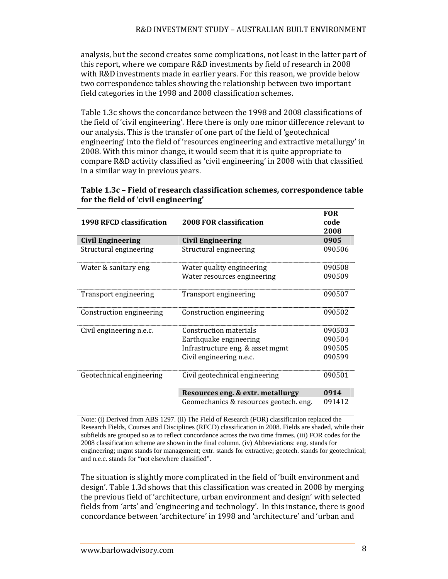analysis, but the second creates some complications, not least in the latter part of this report, where we compare R&D investments by field of research in 2008 with R&D investments made in earlier years. For this reason, we provide below two correspondence tables showing the relationship between two important field categories in the 1998 and 2008 classification schemes.

Table 1.3c shows the concordance between the 1998 and 2008 classifications of the field of 'civil engineering'. Here there is only one minor difference relevant to our analysis. This is the transfer of one part of the field of 'geotechnical engineering' into the field of 'resources engineering and extractive metallurgy' in 2008. With this minor change, it would seem that it is quite appropriate to compare R&D activity classified as 'civil engineering' in 2008 with that classified in a similar way in previous years.

| 1998 RFCD classification | 2008 FOR classification                | <b>FOR</b><br>code<br>2008 |
|--------------------------|----------------------------------------|----------------------------|
| Civil Engineering        | Civil Engineering                      | 0905                       |
| Structural engineering   | Structural engineering                 | 090506                     |
| Water & sanitary eng.    | Water quality engineering              | 090508                     |
|                          | Water resources engineering            | 090509                     |
| Transport engineering    | Transport engineering                  | 090507                     |
| Construction engineering | Construction engineering               | 090502                     |
| Civil engineering n.e.c. | Construction materials                 | 090503                     |
|                          | Earthquake engineering                 | 090504                     |
|                          | Infrastructure eng. & asset mgmt       | 090505                     |
|                          | Civil engineering n.e.c.               | 090599                     |
| Geotechnical engineering | Civil geotechnical engineering         | 090501                     |
|                          | Resources eng. & extr. metallurgy      | 0914                       |
|                          | Geomechanics & resources geotech. eng. | 091412                     |

#### **Table 1.3c – Field of research classification schemes, correspondence table for the field of 'civil engineering'**

Note: (i) Derived from ABS 1297. (ii) The Field of Research (FOR) classification replaced the Research Fields, Courses and Disciplines (RFCD) classification in 2008. Fields are shaded, while their subfields are grouped so as to reflect concordance across the two time frames. (iii) FOR codes for the 2008 classification scheme are shown in the final column. (iv) Abbreviations: eng. stands for engineering; mgmt stands for management; extr. stands for extractive; geotech. stands for geotechnical; and n.e.c. stands for "not elsewhere classified".

The situation is slightly more complicated in the field of 'built environment and design'. Table 1.3d shows that this classification was created in 2008 by merging the previous field of 'architecture, urban environment and design' with selected fields from 'arts' and 'engineering and technology'. In this instance, there is good concordance between 'architecture' in 1998 and 'architecture' and 'urban and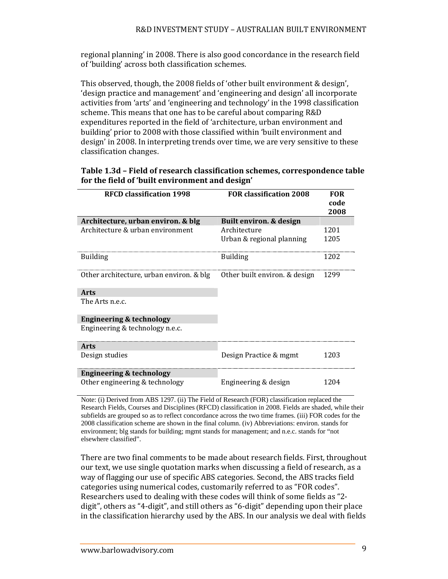regional planning' in 2008. There is also good concordance in the research field of 'building' across both classification schemes.

This observed, though, the 2008 fields of 'other built environment & design'. 'design practice and management' and 'engineering and design' all incorporate activities from 'arts' and 'engineering and technology' in the 1998 classification scheme. This means that one has to be careful about comparing R&D expenditures reported in the field of 'architecture, urban environment and building' prior to 2008 with those classified within 'built environment and design' in 2008. In interpreting trends over time, we are very sensitive to these classification changes. 

#### **Table 1.3d – Field of research classification schemes, correspondence table for the field of 'built environment and design'**

| <b>RFCD classification 1998</b>          | <b>FOR classification 2008</b> | <b>FOR</b> |
|------------------------------------------|--------------------------------|------------|
|                                          |                                | code       |
|                                          |                                | 2008       |
| Architecture, urban environ. & blg       | Built environ. & design        |            |
| Architecture & urban environment         | Architecture                   | 1201       |
|                                          | Urban & regional planning      | 1205       |
| <b>Building</b>                          | <b>Building</b>                | 1202       |
| Other architecture, urban environ. & blg | Other built environ. & design  | 1299       |
| <b>Arts</b>                              |                                |            |
| The Arts n.e.c.                          |                                |            |
| <b>Engineering &amp; technology</b>      |                                |            |
| Engineering & technology n.e.c.          |                                |            |
| <b>Arts</b>                              |                                |            |
| Design studies                           | Design Practice & mgmt         | 1203       |
| <b>Engineering &amp; technology</b>      |                                |            |
| Other engineering & technology           | Engineering & design           | 1204       |

Note: (i) Derived from ABS 1297. (ii) The Field of Research (FOR) classification replaced the Research Fields, Courses and Disciplines (RFCD) classification in 2008. Fields are shaded, while their subfields are grouped so as to reflect concordance across the two time frames. (iii) FOR codes for the 2008 classification scheme are shown in the final column. (iv) Abbreviations: environ. stands for environment; blg stands for building; mgmt stands for management; and n.e.c. stands for "not elsewhere classified".

There are two final comments to be made about research fields. First, throughout our text, we use single quotation marks when discussing a field of research, as a way of flagging our use of specific ABS categories. Second, the ABS tracks field categories using numerical codes, customarily referred to as "FOR codes". Researchers used to dealing with these codes will think of some fields as "2digit", others as "4-digit", and still others as "6-digit" depending upon their place in the classification hierarchy used by the ABS. In our analysis we deal with fields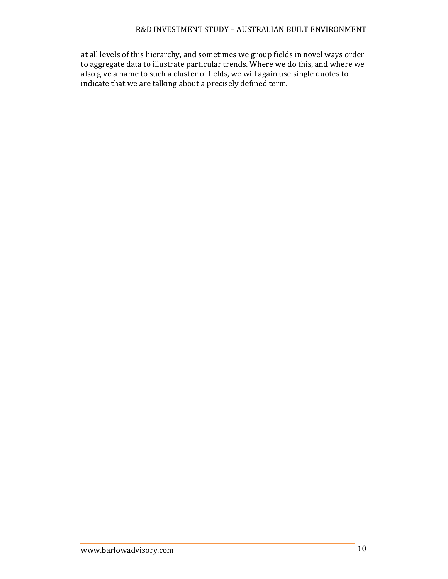at all levels of this hierarchy, and sometimes we group fields in novel ways order to aggregate data to illustrate particular trends. Where we do this, and where we also give a name to such a cluster of fields, we will again use single quotes to indicate that we are talking about a precisely defined term.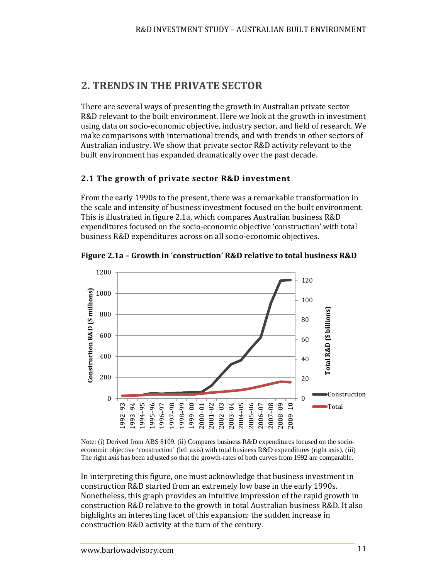# **2. TRENDS IN THE PRIVATE SECTOR**

There are several ways of presenting the growth in Australian private sector R&D relevant to the built environment. Here we look at the growth in investment using data on socio-economic objective, industry sector, and field of research. We make comparisons with international trends, and with trends in other sectors of Australian industry. We show that private sector R&D activity relevant to the built environment has expanded dramatically over the past decade.

#### **2.1 The growth of private sector R&D investment**

From the early 1990s to the present, there was a remarkable transformation in the scale and intensity of business investment focused on the built environment. This is illustrated in figure 2.1a, which compares Australian business R&D expenditures focused on the socio-economic objective 'construction' with total business R&D expenditures across on all socio-economic objectives.



**Figure 2.1a – Growth in 'construction' R&D relative to total business R&D**

Note: (i) Derived from ABS 8109. (ii) Compares business R&D expenditures focused on the socioeconomic objective 'construction' (left axis) with total business R&D expenditures (right axis). (iii) The right axis has been adjusted so that the growth-rates of both curves from 1992 are comparable.

In interpreting this figure, one must acknowledge that business investment in construction R&D started from an extremely low base in the early 1990s. Nonetheless, this graph provides an intuitive impression of the rapid growth in construction R&D relative to the growth in total Australian business R&D. It also highlights an interesting facet of this expansion: the sudden increase in construction R&D activity at the turn of the century.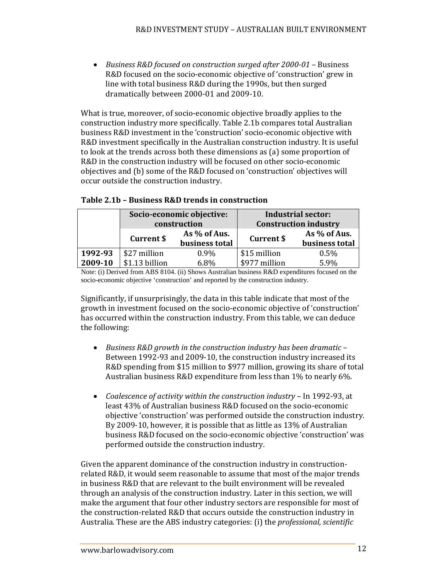*Business R&D focused on construction surged after 2000‐01* – Business R&D focused on the socio-economic objective of 'construction' grew in line with total business R&D during the 1990s, but then surged dramatically between 2000-01 and 2009-10.

What is true, moreover, of socio-economic objective broadly applies to the construction industry more specifically. Table 2.1b compares total Australian business R&D investment in the 'construction' socio-economic objective with R&D investment specifically in the Australian construction industry. It is useful to look at the trends across both these dimensions as (a) some proportion of R&D in the construction industry will be focused on other socio-economic objectives and (b) some of the R&D focused on 'construction' objectives will occur outside the construction industry.

|         | Socio-economic objective:<br>construction |                                | <b>Industrial sector:</b><br><b>Construction industry</b> |                                |
|---------|-------------------------------------------|--------------------------------|-----------------------------------------------------------|--------------------------------|
|         | <b>Current \$</b>                         | As % of Aus.<br>business total | <b>Current \$</b>                                         | As % of Aus.<br>business total |
| 1992-93 | \$27 million                              | $0.9\%$                        | \$15 million                                              | 0.5%                           |
| 2009-10 | \$1.13 billion                            | 6.8%                           | \$977 million                                             | $5.9\%$                        |

#### **Table 2.1b – Business R&D trends in construction**

Note: (i) Derived from ABS 8104. (ii) Shows Australian business R&D expenditures focused on the socio-economic objective 'construction' and reported by the construction industry.

Significantly, if unsurprisingly, the data in this table indicate that most of the growth in investment focused on the socio-economic objective of 'construction' has occurred within the construction industry. From this table, we can deduce the following:

- *Business R&D growth in the construction industry has been dramatic* – Between 1992-93 and 2009-10, the construction industry increased its R&D spending from \$15 million to \$977 million, growing its share of total Australian business  $R&D$  expenditure from less than  $1\%$  to nearly 6%.
- *Coalescence of activity within the construction <i>industry* In 1992-93, at least 43% of Australian business R&D focused on the socio-economic objective 'construction' was performed outside the construction industry. By 2009-10, however, it is possible that as little as 13% of Australian business R&D focused on the socio-economic objective 'construction' was performed outside the construction industry.

Given the apparent dominance of the construction industry in constructionrelated R&D, it would seem reasonable to assume that most of the major trends in business R&D that are relevant to the built environment will be revealed through an analysis of the construction industry. Later in this section, we will make the argument that four other industry sectors are responsible for most of the construction-related R&D that occurs outside the construction industry in Australia. These are the ABS industry categories: (i) the *professional, scientific*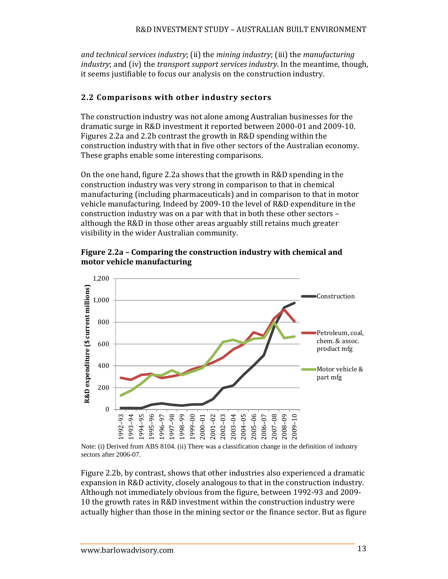*and technical services industry*; (ii) the *mining industry*; (iii) the *manufacturing industry*; and (iv) the *transport support services industry*. In the meantime, though, it seems justifiable to focus our analysis on the construction industry.

## **2.2 Comparisons with other industry sectors**

The construction industry was not alone among Australian businesses for the dramatic surge in R&D investment it reported between 2000-01 and 2009-10. Figures 2.2a and 2.2b contrast the growth in R&D spending within the construction industry with that in five other sectors of the Australian economy. These graphs enable some interesting comparisons.

On the one hand, figure 2.2a shows that the growth in R&D spending in the construction industry was very strong in comparison to that in chemical manufacturing (including pharmaceuticals) and in comparison to that in motor vehicle manufacturing. Indeed by 2009-10 the level of R&D expenditure in the construction industry was on a par with that in both these other sectors although the R&D in those other areas arguably still retains much greater visibility in the wider Australian community.





Note: (i) Derived from ABS 8104. (ii) There was a classification change in the definition of industry sectors after 2006-07.

Figure 2.2b, by contrast, shows that other industries also experienced a dramatic expansion in R&D activity, closely analogous to that in the construction industry. Although not immediately obvious from the figure, between 1992-93 and 2009-10 the growth rates in R&D investment within the construction industry were actually higher than those in the mining sector or the finance sector. But as figure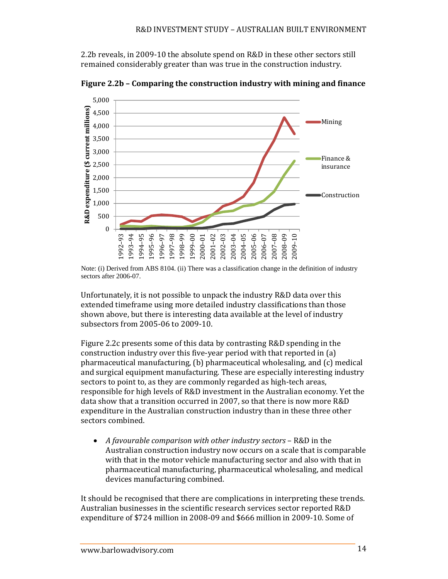2.2b reveals, in 2009-10 the absolute spend on R&D in these other sectors still remained considerably greater than was true in the construction industry.



**Figure 2.2b – Comparing the construction industry with mining and finance**

Unfortunately, it is not possible to unpack the industry R&D data over this extended timeframe using more detailed industry classifications than those shown above, but there is interesting data available at the level of industry subsectors from 2005-06 to 2009-10.

Figure 2.2c presents some of this data by contrasting  $R&D$  spending in the construction industry over this five-year period with that reported in (a) pharmaceutical manufacturing,  $(b)$  pharmaceutical wholesaling, and  $(c)$  medical and surgical equipment manufacturing. These are especially interesting industry sectors to point to, as they are commonly regarded as high-tech areas, responsible for high levels of R&D investment in the Australian economy. Yet the data show that a transition occurred in 2007, so that there is now more R&D expenditure in the Australian construction industry than in these three other sectors combined.

 *A favourable comparison with other industry sectors* – R&D in the Australian construction industry now occurs on a scale that is comparable with that in the motor vehicle manufacturing sector and also with that in pharmaceutical manufacturing, pharmaceutical wholesaling, and medical devices manufacturing combined.

It should be recognised that there are complications in interpreting these trends. Australian businesses in the scientific research services sector reported R&D expenditure of \$724 million in 2008-09 and \$666 million in 2009-10. Some of

Note: (i) Derived from ABS 8104. (ii) There was a classification change in the definition of industry sectors after 2006-07.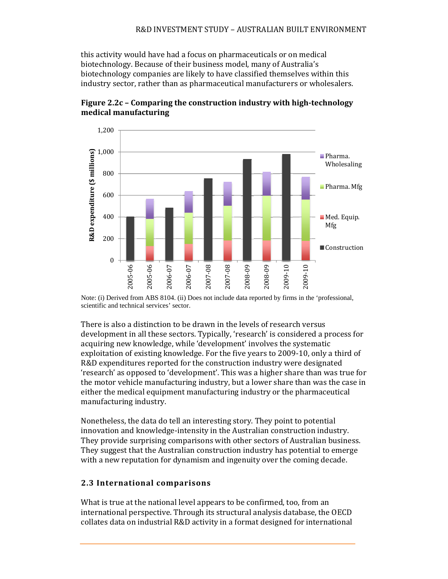this activity would have had a focus on pharmaceuticals or on medical biotechnology. Because of their business model, many of Australia's biotechnology companies are likely to have classified themselves within this industry sector, rather than as pharmaceutical manufacturers or wholesalers.



**Figure 2.2c – Comparing the construction industry with high‐technology medical manufacturing**

Note: (i) Derived from ABS 8104. (ii) Does not include data reported by firms in the 'professional, scientific and technical services' sector.

There is also a distinction to be drawn in the levels of research versus development in all these sectors. Typically, 'research' is considered a process for acquiring new knowledge, while 'development' involves the systematic exploitation of existing knowledge. For the five years to 2009-10, only a third of R&D expenditures reported for the construction industry were designated 'research' as opposed to 'development'. This was a higher share than was true for the motor vehicle manufacturing industry, but a lower share than was the case in either the medical equipment manufacturing industry or the pharmaceutical manufacturing industry.

Nonetheless, the data do tell an interesting story. They point to potential innovation and knowledge-intensity in the Australian construction industry. They provide surprising comparisons with other sectors of Australian business. They suggest that the Australian construction industry has potential to emerge with a new reputation for dynamism and ingenuity over the coming decade.

#### **2.3 International comparisons**

What is true at the national level appears to be confirmed, too, from an international perspective. Through its structural analysis database, the OECD collates data on industrial R&D activity in a format designed for international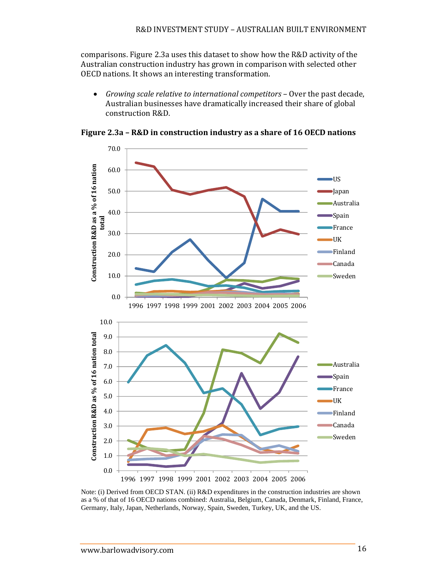comparisons. Figure 2.3a uses this dataset to show how the R&D activity of the Australian construction industry has grown in comparison with selected other OECD nations. It shows an interesting transformation.

• *Growing scale relative to international competitors* – Over the past decade, Australian businesses have dramatically increased their share of global construction R&D. 



**Figure 2.3a – R&D in construction industry as a share of 16 OECD nations**

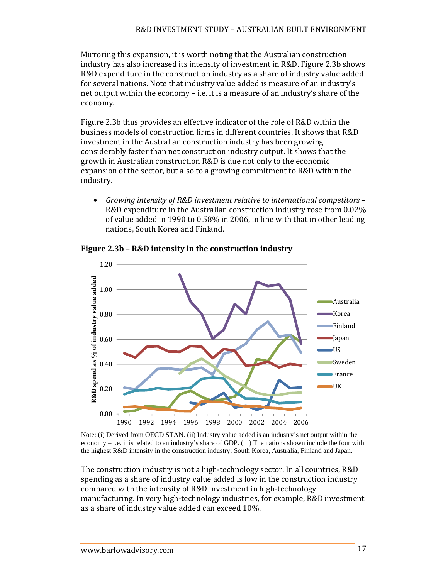Mirroring this expansion, it is worth noting that the Australian construction industry has also increased its intensity of investment in R&D. Figure 2.3b shows R&D expenditure in the construction industry as a share of industry value added for several nations. Note that industry value added is measure of an industry's net output within the economy  $-$  i.e. it is a measure of an industry's share of the economy. 

Figure 2.3b thus provides an effective indicator of the role of R&D within the business models of construction firms in different countries. It shows that R&D investment in the Australian construction industry has been growing considerably faster than net construction industry output. It shows that the growth in Australian construction R&D is due not only to the economic expansion of the sector, but also to a growing commitment to R&D within the industry. 

 *Growing intensity of R&D investment relative to international competitors* – R&D expenditure in the Australian construction industry rose from 0.02% of value added in 1990 to  $0.58\%$  in 2006, in line with that in other leading nations, South Korea and Finland.



**Figure 2.3b – R&D intensity in the construction industry**

Note: (i) Derived from OECD STAN. (ii) Industry value added is an industry's net output within the economy – i.e. it is related to an industry's share of GDP. (iii) The nations shown include the four with the highest R&D intensity in the construction industry: South Korea, Australia, Finland and Japan.

The construction industry is not a high-technology sector. In all countries, R&D spending as a share of industry value added is low in the construction industry compared with the intensity of R&D investment in high-technology manufacturing. In very high-technology industries, for example, R&D investment as a share of industry value added can exceed 10%.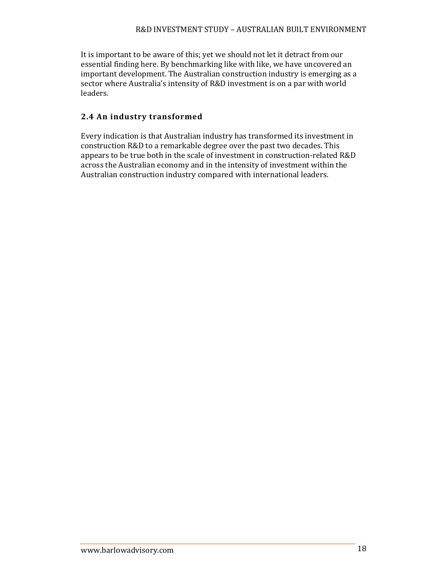It is important to be aware of this; yet we should not let it detract from our essential finding here. By benchmarking like with like, we have uncovered an important development. The Australian construction industry is emerging as a sector where Australia's intensity of R&D investment is on a par with world leaders. 

## **2.4 An industry transformed**

Every indication is that Australian industry has transformed its investment in construction R&D to a remarkable degree over the past two decades. This appears to be true both in the scale of investment in construction-related R&D across the Australian economy and in the intensity of investment within the Australian construction industry compared with international leaders.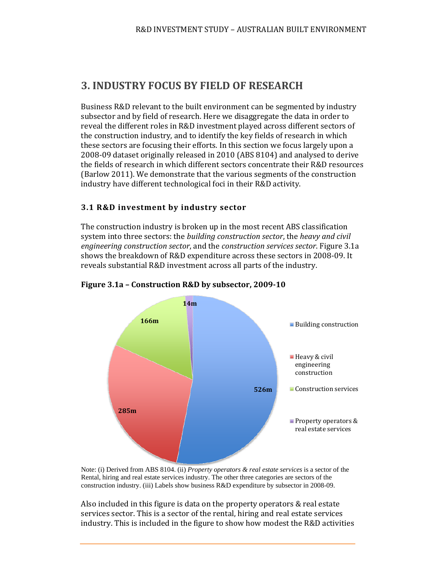# **3. INDUSTRY FOCUS BY FIELD OF RESEARCH**

Business R&D relevant to the built environment can be segmented by industry subsector and by field of research. Here we disaggregate the data in order to reveal the different roles in R&D investment played across different sectors of the construction industry, and to identify the key fields of research in which these sectors are focusing their efforts. In this section we focus largely upon a 2008-09 dataset originally released in 2010 (ABS 8104) and analysed to derive the fields of research in which different sectors concentrate their R&D resources (Barlow 2011). We demonstrate that the various segments of the construction industry have different technological foci in their R&D activity.

#### **3.1 R&D investment by industry sector**

The construction industry is broken up in the most recent ABS classification system into three sectors: the *building construction sector*, the *heavy and civil engineering construction sector*, and the *construction services sector*. Figure 3.1a shows the breakdown of R&D expenditure across these sectors in 2008-09. It reveals substantial R&D investment across all parts of the industry.



#### **Figure 3.1a – Construction R&D by subsector, 2009‐10**

Note: (i) Derived from ABS 8104. (ii) *Property operators & real estate services* is a sector of the Rental, hiring and real estate services industry. The other three categories are sectors of the construction industry. (iii) Labels show business R&D expenditure by subsector in 2008-09.

Also included in this figure is data on the property operators  $&$  real estate services sector. This is a sector of the rental, hiring and real estate services industry. This is included in the figure to show how modest the R&D activities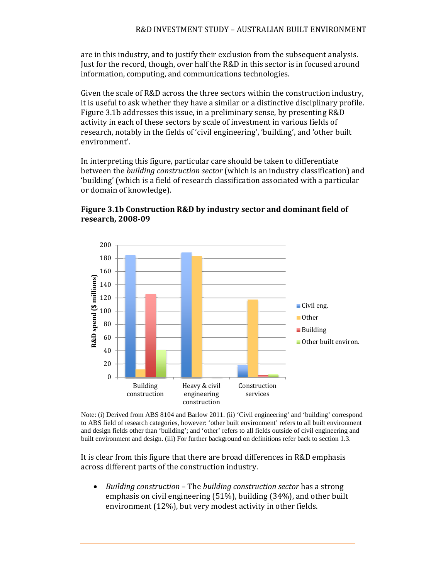are in this industry, and to justify their exclusion from the subsequent analysis. Just for the record, though, over half the R&D in this sector is in focused around information, computing, and communications technologies.

Given the scale of R&D across the three sectors within the construction industry, it is useful to ask whether they have a similar or a distinctive disciplinary profile. Figure 3.1b addresses this issue, in a preliminary sense, by presenting R&D activity in each of these sectors by scale of investment in various fields of research, notably in the fields of 'civil engineering', 'building', and 'other built environment'. 

In interpreting this figure, particular care should be taken to differentiate between the *building construction sector* (which is an industry classification) and 'building' (which is a field of research classification associated with a particular or domain of knowledge).



**Figure 3.1b Construction R&D by industry sector and dominant field of research, 2008‐09**

Note: (i) Derived from ABS 8104 and Barlow 2011. (ii) 'Civil engineering' and 'building' correspond to ABS field of research categories, however: 'other built environment' refers to all built environment and design fields other than 'building'; and 'other' refers to all fields outside of civil engineering and built environment and design. (iii) For further background on definitions refer back to section 1.3.

It is clear from this figure that there are broad differences in R&D emphasis across different parts of the construction industry.

*Building construction* – The *building construction sector* has a strong emphasis on civil engineering  $(51\%)$ , building  $(34\%)$ , and other built environment  $(12\%)$ , but very modest activity in other fields.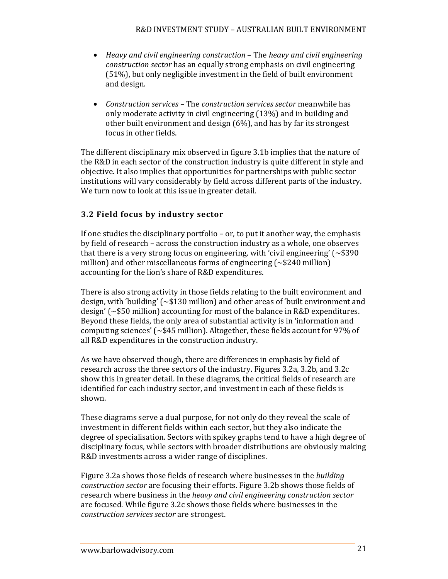- *Heavy and civil engineering construction* – The *heavy and civil engineering construction sector* has an equally strong emphasis on civil engineering  $(51%)$ , but only negligible investment in the field of built environment and design.
- Construction *services* The *construction services sector* meanwhile has only moderate activity in civil engineering (13%) and in building and other built environment and design  $(6%)$ , and has by far its strongest focus in other fields.

The different disciplinary mix observed in figure 3.1b implies that the nature of the R&D in each sector of the construction industry is quite different in style and objective. It also implies that opportunities for partnerships with public sector institutions will vary considerably by field across different parts of the industry. We turn now to look at this issue in greater detail.

### **3.2 Field focus by industry sector**

If one studies the disciplinary portfolio – or, to put it another way, the emphasis by field of research - across the construction industry as a whole, one observes that there is a very strong focus on engineering, with 'civil engineering' ( $\sim$ \$390 million) and other miscellaneous forms of engineering  $\sim$  \$240 million) accounting for the lion's share of R&D expenditures.

There is also strong activity in those fields relating to the built environment and design, with 'building'  $(\sim $130 \text{ million})$  and other areas of 'built environment and design' ( $\sim$ \$50 million) accounting for most of the balance in R&D expenditures. Beyond these fields, the only area of substantial activity is in 'information and computing sciences'  $\sim$  \$45 million). Altogether, these fields account for 97% of all R&D expenditures in the construction industry.

As we have observed though, there are differences in emphasis by field of research across the three sectors of the industry. Figures 3.2a, 3.2b, and 3.2c show this in greater detail. In these diagrams, the critical fields of research are identified for each industry sector, and investment in each of these fields is shown. 

These diagrams serve a dual purpose, for not only do they reveal the scale of investment in different fields within each sector, but they also indicate the degree of specialisation. Sectors with spikey graphs tend to have a high degree of disciplinary focus, while sectors with broader distributions are obviously making R&D investments across a wider range of disciplines.

Figure 3.2a shows those fields of research where businesses in the *building construction sector* are focusing their efforts. Figure 3.2b shows those fields of research where business in the *heavy and civil engineering construction sector* are focused. While figure 3.2c shows those fields where businesses in the *construction services sector* are strongest.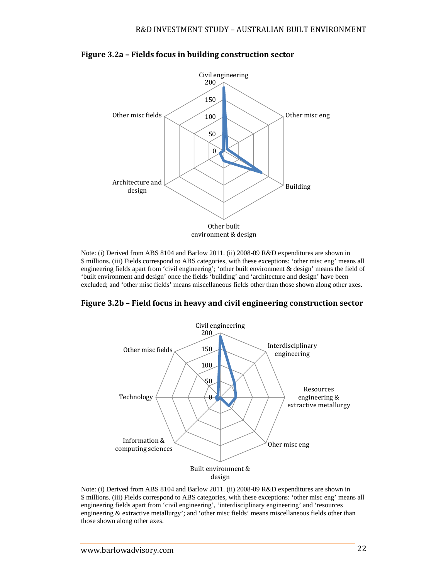

#### **Figure 3.2a – Fields focus in building construction sector**

Note: (i) Derived from ABS 8104 and Barlow 2011. (ii) 2008-09 R&D expenditures are shown in \$ millions. (iii) Fields correspond to ABS categories, with these exceptions: 'other misc eng' means all engineering fields apart from 'civil engineering'; 'other built environment & design' means the field of 'built environment and design' once the fields 'building' and 'architecture and design' have been excluded; and 'other misc fields' means miscellaneous fields other than those shown along other axes.

**Figure 3.2b – Field focus in heavy and civil engineering construction sector**



Note: (i) Derived from ABS 8104 and Barlow 2011. (ii) 2008-09 R&D expenditures are shown in \$ millions. (iii) Fields correspond to ABS categories, with these exceptions: 'other misc eng' means all engineering fields apart from 'civil engineering', 'interdisciplinary engineering' and 'resources engineering & extractive metallurgy'; and 'other misc fields' means miscellaneous fields other than those shown along other axes.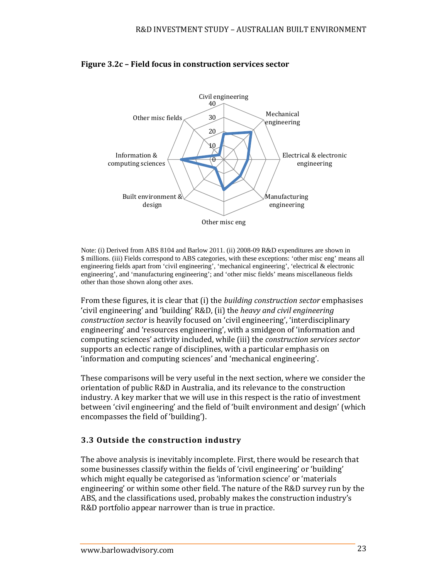

## **Figure 3.2c – Field focus in construction services sector**

Note: (i) Derived from ABS 8104 and Barlow 2011. (ii) 2008-09 R&D expenditures are shown in \$ millions. (iii) Fields correspond to ABS categories, with these exceptions: 'other misc eng' means all engineering fields apart from 'civil engineering', 'mechanical engineering', 'electrical & electronic engineering', and 'manufacturing engineering'; and 'other misc fields' means miscellaneous fields other than those shown along other axes.

From these figures, it is clear that (i) the *building construction sector* emphasises 'civil engineering' and 'building' R&D, (ii) the *heavy and civil engineering construction sector* is heavily focused on 'civil engineering', 'interdisciplinary engineering' and 'resources engineering', with a smidgeon of 'information and computing sciences' activity included, while (iii) the *construction services sector* supports an eclectic range of disciplines, with a particular emphasis on 'information and computing sciences' and 'mechanical engineering'.

These comparisons will be very useful in the next section, where we consider the orientation of public R&D in Australia, and its relevance to the construction industry. A key marker that we will use in this respect is the ratio of investment between 'civil engineering' and the field of 'built environment and design' (which encompasses the field of 'building').

#### **3.3 Outside the construction industry**

The above analysis is inevitably incomplete. First, there would be research that some businesses classify within the fields of 'civil engineering' or 'building' which might equally be categorised as 'information science' or 'materials engineering' or within some other field. The nature of the R&D survey run by the ABS, and the classifications used, probably makes the construction industry's R&D portfolio appear narrower than is true in practice.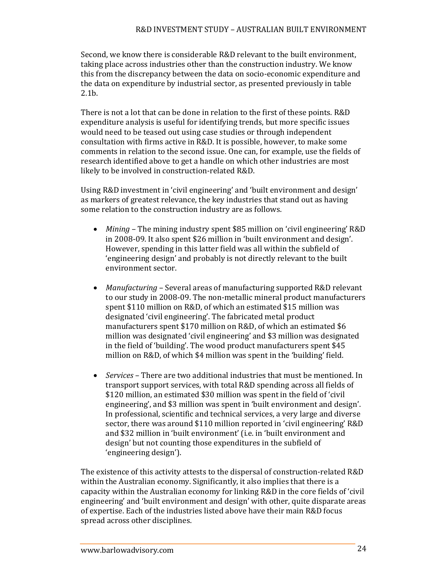Second, we know there is considerable R&D relevant to the built environment, taking place across industries other than the construction industry. We know this from the discrepancy between the data on socio-economic expenditure and the data on expenditure by industrial sector, as presented previously in table 2.1b. 

There is not a lot that can be done in relation to the first of these points. R&D expenditure analysis is useful for identifying trends, but more specific issues would need to be teased out using case studies or through independent consultation with firms active in R&D. It is possible, however, to make some comments in relation to the second issue. One can, for example, use the fields of research identified above to get a handle on which other industries are most likely to be involved in construction-related R&D.

Using R&D investment in 'civil engineering' and 'built environment and design' as markers of greatest relevance, the key industries that stand out as having some relation to the construction industry are as follows.

- *Mining* The mining industry spent \$85 million on 'civil engineering' R&D in 2008-09. It also spent \$26 million in 'built environment and design'. However, spending in this latter field was all within the subfield of 'engineering design' and probably is not directly relevant to the built environment sector.
- *Manufacturing* Several areas of manufacturing supported R&D relevant to our study in 2008-09. The non-metallic mineral product manufacturers spent \$110 million on R&D, of which an estimated \$15 million was designated 'civil engineering'. The fabricated metal product manufacturers spent \$170 million on R&D, of which an estimated \$6 million was designated 'civil engineering' and \$3 million was designated in the field of 'building'. The wood product manufacturers spent \$45 million on R&D, of which \$4 million was spent in the 'building' field.
- *Services* There are two additional industries that must be mentioned. In transport support services, with total R&D spending across all fields of \$120 million, an estimated \$30 million was spent in the field of 'civil engineering', and \$3 million was spent in 'built environment and design'. In professional, scientific and technical services, a very large and diverse sector, there was around \$110 million reported in 'civil engineering' R&D and \$32 million in 'built environment' (i.e. in 'built environment and design' but not counting those expenditures in the subfield of 'engineering design').

The existence of this activity attests to the dispersal of construction-related R&D within the Australian economy. Significantly, it also implies that there is a capacity within the Australian economy for linking  $R&D$  in the core fields of 'civil engineering' and 'built environment and design' with other, quite disparate areas of expertise. Each of the industries listed above have their main R&D focus spread across other disciplines.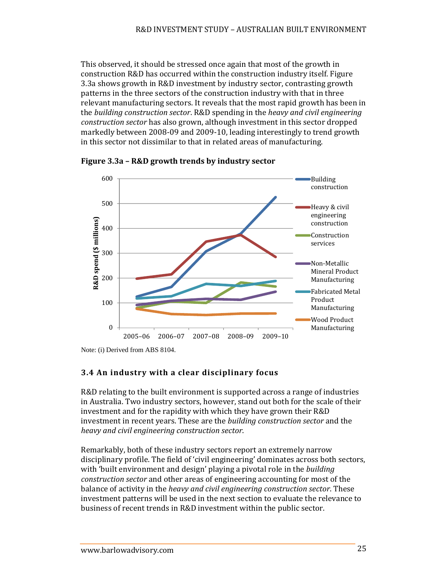This observed, it should be stressed once again that most of the growth in construction R&D has occurred within the construction industry itself. Figure 3.3a shows growth in R&D investment by industry sector, contrasting growth patterns in the three sectors of the construction industry with that in three relevant manufacturing sectors. It reveals that the most rapid growth has been in the *building* construction sector. R&D spending in the *heavy and civil engineering construction sector* has also grown, although investment in this sector dropped markedly between 2008-09 and 2009-10, leading interestingly to trend growth in this sector not dissimilar to that in related areas of manufacturing.



**Figure 3.3a – R&D growth trends by industry sector**

Note: (i) Derived from ABS 8104.

## **3.4 An industry with a clear disciplinary focus**

R&D relating to the built environment is supported across a range of industries in Australia. Two industry sectors, however, stand out both for the scale of their investment and for the rapidity with which they have grown their R&D investment in recent years. These are the *building construction sector* and the *heavy and civil engineering construction sector*. 

Remarkably, both of these industry sectors report an extremely narrow disciplinary profile. The field of 'civil engineering' dominates across both sectors, with 'built environment and design' playing a pivotal role in the *building construction sector* and other areas of engineering accounting for most of the balance of activity in the *heavy and civil engineering construction sector*. These investment patterns will be used in the next section to evaluate the relevance to business of recent trends in R&D investment within the public sector.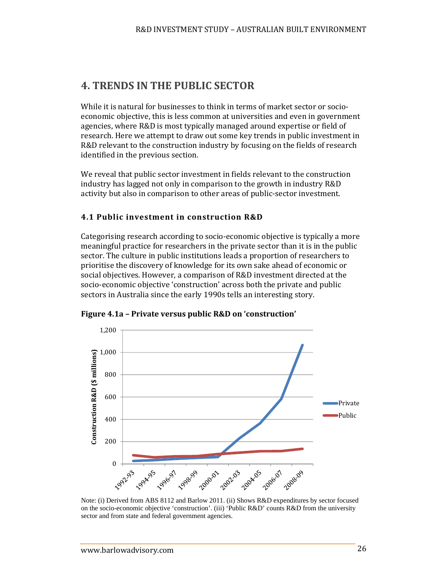# **4. TRENDS IN THE PUBLIC SECTOR**

While it is natural for businesses to think in terms of market sector or socioeconomic objective, this is less common at universities and even in government agencies, where R&D is most typically managed around expertise or field of research. Here we attempt to draw out some key trends in public investment in R&D relevant to the construction industry by focusing on the fields of research identified in the previous section.

We reveal that public sector investment in fields relevant to the construction industry has lagged not only in comparison to the growth in industry R&D activity but also in comparison to other areas of public-sector investment.

#### **4.1 Public investment in construction R&D**

Categorising research according to socio-economic objective is typically a more meaningful practice for researchers in the private sector than it is in the public sector. The culture in public institutions leads a proportion of researchers to prioritise the discovery of knowledge for its own sake ahead of economic or social objectives. However, a comparison of R&D investment directed at the socio-economic objective 'construction' across both the private and public sectors in Australia since the early 1990s tells an interesting story.



**Figure 4.1a – Private versus public R&D on 'construction'**

Note: (i) Derived from ABS 8112 and Barlow 2011. (ii) Shows R&D expenditures by sector focused on the socio-economic objective 'construction'. (iii) 'Public R&D' counts R&D from the university sector and from state and federal government agencies.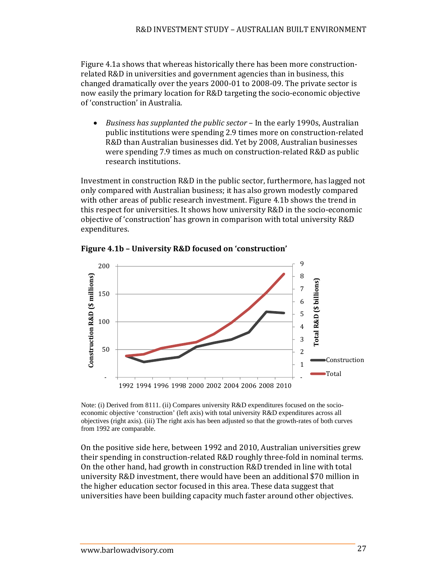Figure 4.1a shows that whereas historically there has been more constructionrelated R&D in universities and government agencies than in business, this changed dramatically over the years  $2000-01$  to  $2008-09$ . The private sector is now easily the primary location for R&D targeting the socio-economic objective of 'construction' in Australia.

*Business has supplanted the public sector* – In the early 1990s, Australian public institutions were spending 2.9 times more on construction-related R&D than Australian businesses did. Yet by 2008, Australian businesses were spending 7.9 times as much on construction-related R&D as public research institutions.

Investment in construction  $R&D$  in the public sector, furthermore, has lagged not only compared with Australian business; it has also grown modestly compared with other areas of public research investment. Figure 4.1b shows the trend in this respect for universities. It shows how university R&D in the socio-economic objective of 'construction' has grown in comparison with total university R&D expenditures. 



**Figure 4.1b – University R&D focused on 'construction'** 

Note: (i) Derived from 8111. (ii) Compares university R&D expenditures focused on the socioeconomic objective 'construction' (left axis) with total university R&D expenditures across all objectives (right axis). (iii) The right axis has been adjusted so that the growth-rates of both curves from 1992 are comparable.

On the positive side here, between 1992 and 2010, Australian universities grew their spending in construction-related R&D roughly three-fold in nominal terms. On the other hand, had growth in construction R&D trended in line with total university R&D investment, there would have been an additional \$70 million in the higher education sector focused in this area. These data suggest that universities have been building capacity much faster around other objectives.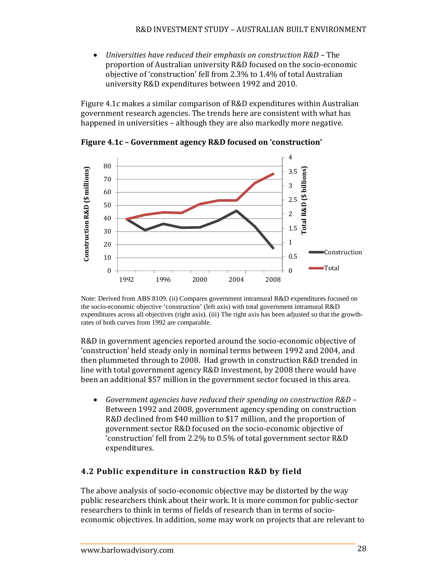*Universities have reduced their emphasis on construction R&D* – The proportion of Australian university R&D focused on the socio-economic objective of 'construction' fell from 2.3% to 1.4% of total Australian university R&D expenditures between 1992 and 2010.

Figure 4.1c makes a similar comparison of R&D expenditures within Australian government research agencies. The trends here are consistent with what has happened in universities – although they are also markedly more negative.



**Figure 4.1c – Government agency R&D focused on 'construction'** 

Note: Derived from ABS 8109. (ii) Compares government intramural R&D expenditures focused on the socio-economic objective 'construction' (left axis) with total government intramural R&D expenditures across all objectives (right axis). (iii) The right axis has been adjusted so that the growthrates of both curves from 1992 are comparable.

R&D in government agencies reported around the socio-economic objective of 'construction' held steady only in nominal terms between 1992 and 2004, and then plummeted through to 2008. Had growth in construction R&D trended in line with total government agency R&D investment, by 2008 there would have been an additional \$57 million in the government sector focused in this area.

 *Government agencies have reduced their spending on construction R&D* – Between 1992 and 2008, government agency spending on construction R&D declined from \$40 million to \$17 million, and the proportion of government sector R&D focused on the socio-economic objective of 'construction' fell from 2.2% to 0.5% of total government sector R&D expenditures. 

#### **4.2 Public expenditure in construction R&D by field**

The above analysis of socio-economic objective may be distorted by the way public researchers think about their work. It is more common for public-sector researchers to think in terms of fields of research than in terms of socioeconomic objectives. In addition, some may work on projects that are relevant to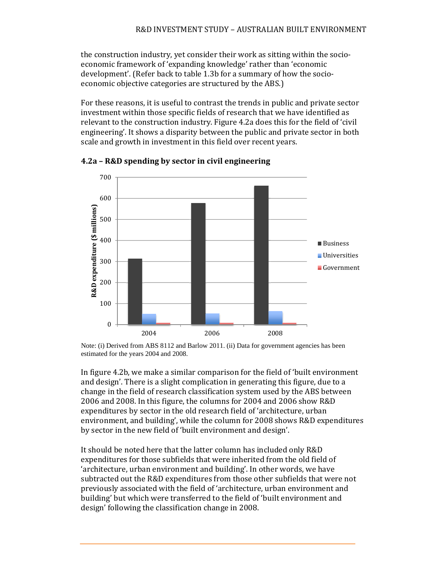the construction industry, yet consider their work as sitting within the socioeconomic framework of 'expanding knowledge' rather than 'economic development'. (Refer back to table 1.3b for a summary of how the socioeconomic objective categories are structured by the ABS.)

For these reasons, it is useful to contrast the trends in public and private sector investment within those specific fields of research that we have identified as relevant to the construction industry. Figure 4.2a does this for the field of 'civil engineering'. It shows a disparity between the public and private sector in both scale and growth in investment in this field over recent years.



**4.2a – R&D spending by sector in civil engineering**

Note: (i) Derived from ABS 8112 and Barlow 2011. (ii) Data for government agencies has been estimated for the years 2004 and 2008.

In figure 4.2b, we make a similar comparison for the field of 'built environment and design'. There is a slight complication in generating this figure, due to a change in the field of research classification system used by the ABS between 2006 and 2008. In this figure, the columns for 2004 and 2006 show R&D expenditures by sector in the old research field of 'architecture, urban environment, and building', while the column for 2008 shows R&D expenditures by sector in the new field of 'built environment and design'.

It should be noted here that the latter column has included only R&D expenditures for those subfields that were inherited from the old field of 'architecture, urban environment and building'. In other words, we have subtracted out the R&D expenditures from those other subfields that were not previously associated with the field of 'architecture, urban environment and building' but which were transferred to the field of 'built environment and design' following the classification change in 2008.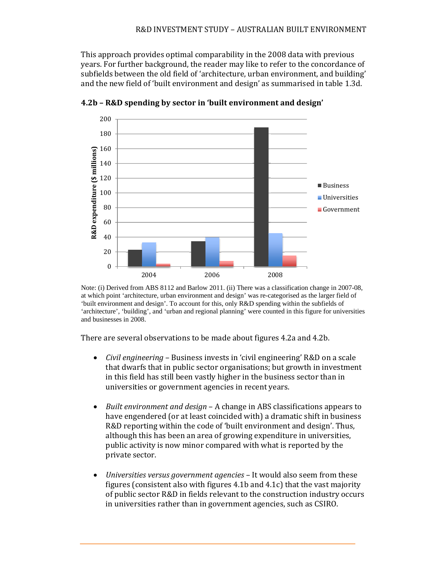This approach provides optimal comparability in the 2008 data with previous years. For further background, the reader may like to refer to the concordance of subfields between the old field of 'architecture, urban environment, and building' and the new field of 'built environment and design' as summarised in table 1.3d.



**4.2b – R&D spending by sector in 'built environment and design'**

There are several observations to be made about figures 4.2a and 4.2b.

- *Civil engineering* Business invests in 'civil engineering' R&D on a scale that dwarfs that in public sector organisations; but growth in investment in this field has still been vastly higher in the business sector than in universities or government agencies in recent years.
- *Built environment and design* A change in ABS classifications appears to have engendered (or at least coincided with) a dramatic shift in business R&D reporting within the code of 'built environment and design'. Thus, although this has been an area of growing expenditure in universities, public activity is now minor compared with what is reported by the private sector.
- *Universities versus government agencies* It would also seem from these figures (consistent also with figures  $4.1b$  and  $4.1c$ ) that the vast majority of public sector R&D in fields relevant to the construction industry occurs in universities rather than in government agencies, such as CSIRO.

Note: (i) Derived from ABS 8112 and Barlow 2011. (ii) There was a classification change in 2007-08, at which point 'architecture, urban environment and design' was re-categorised as the larger field of 'built environment and design'. To account for this, only R&D spending within the subfields of 'architecture', 'building', and 'urban and regional planning' were counted in this figure for universities and businesses in 2008.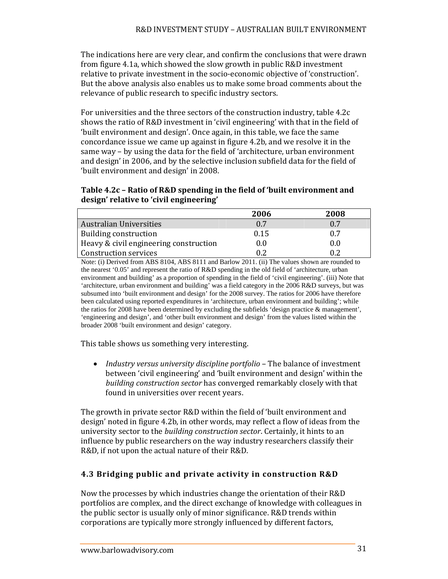The indications here are very clear, and confirm the conclusions that were drawn from figure 4.1a, which showed the slow growth in public R&D investment relative to private investment in the socio-economic objective of 'construction'. But the above analysis also enables us to make some broad comments about the relevance of public research to specific industry sectors.

For universities and the three sectors of the construction industry, table 4.2c shows the ratio of R&D investment in 'civil engineering' with that in the field of 'built environment and design'. Once again, in this table, we face the same concordance issue we came up against in figure 4.2b, and we resolve it in the same way – by using the data for the field of 'architecture, urban environment and design' in 2006, and by the selective inclusion subfield data for the field of 'built environment and design' in 2008.

#### **Table 4.2c – Ratio of R&D spending in the field of 'built environment and design' relative to 'civil engineering'**

|                                        | 2006 | 2008    |
|----------------------------------------|------|---------|
| <b>Australian Universities</b>         | 0.7  | 0.7     |
| Building construction                  | 0.15 | 0.7     |
| Heavy & civil engineering construction | 0.0  | $0.0\,$ |
| Construction services                  | 0.2  | 0.2     |

Note: (i) Derived from ABS 8104, ABS 8111 and Barlow 2011. (ii) The values shown are rounded to the nearest '0.05' and represent the ratio of R&D spending in the old field of 'architecture, urban environment and building' as a proportion of spending in the field of 'civil engineering'. (iii) Note that 'architecture, urban environment and building' was a field category in the 2006 R&D surveys, but was subsumed into 'built environment and design' for the 2008 survey. The ratios for 2006 have therefore been calculated using reported expenditures in 'architecture, urban environment and building'; while the ratios for 2008 have been determined by excluding the subfields 'design practice & management', 'engineering and design', and 'other built environment and design' from the values listed within the broader 2008 'built environment and design' category.

This table shows us something very interesting.

*Industry versus university discipline portfolio* – The balance of investment between 'civil engineering' and 'built environment and design' within the *building construction sector* has converged remarkably closely with that found in universities over recent years.

The growth in private sector R&D within the field of 'built environment and design' noted in figure 4.2b, in other words, may reflect a flow of ideas from the university sector to the *building construction sector*. Certainly, it hints to an influence by public researchers on the way industry researchers classify their R&D, if not upon the actual nature of their R&D.

## **4.3 Bridging public and private activity in construction R&D**

Now the processes by which industries change the orientation of their R&D portfolios are complex, and the direct exchange of knowledge with colleagues in the public sector is usually only of minor significance. R&D trends within corporations are typically more strongly influenced by different factors,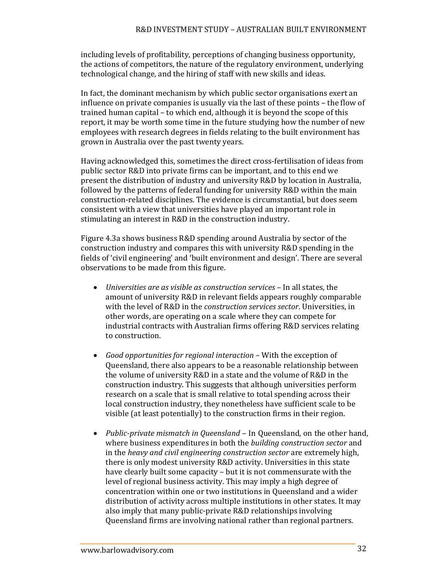including levels of profitability, perceptions of changing business opportunity, the actions of competitors, the nature of the regulatory environment, underlying technological change, and the hiring of staff with new skills and ideas.

In fact, the dominant mechanism by which public sector organisations exert an influence on private companies is usually via the last of these points  $-$  the flow of trained human capital - to which end, although it is beyond the scope of this report, it may be worth some time in the future studying how the number of new employees with research degrees in fields relating to the built environment has grown in Australia over the past twenty years.

Having acknowledged this, sometimes the direct cross-fertilisation of ideas from public sector R&D into private firms can be important, and to this end we present the distribution of industry and university R&D by location in Australia, followed by the patterns of federal funding for university  $R&D$  within the main construction-related disciplines. The evidence is circumstantial, but does seem consistent with a view that universities have played an important role in stimulating an interest in R&D in the construction industry.

Figure 4.3a shows business  $R&D$  spending around Australia by sector of the construction industry and compares this with university R&D spending in the fields of 'civil engineering' and 'built environment and design'. There are several observations to be made from this figure.

- *Universities are as visible as construction services* – In all states, the amount of university R&D in relevant fields appears roughly comparable with the level of R&D in the *construction services sector*. Universities, in other words, are operating on a scale where they can compete for industrial contracts with Australian firms offering R&D services relating to construction.
- Good *opportunities* for *regional interaction* With the exception of Queensland, there also appears to be a reasonable relationship between the volume of university R&D in a state and the volume of R&D in the construction industry. This suggests that although universities perform research on a scale that is small relative to total spending across their local construction industry, they nonetheless have sufficient scale to be visible (at least potentially) to the construction firms in their region.
- Public-private mismatch in Queensland In Queensland, on the other hand, where business expenditures in both the *building construction sector* and in the *heavy and civil engineering construction sector* are extremely high, there is only modest university R&D activity. Universities in this state have clearly built some capacity – but it is not commensurate with the level of regional business activity. This may imply a high degree of concentration within one or two institutions in Queensland and a wider distribution of activity across multiple institutions in other states. It may also imply that many public-private R&D relationships involving Queensland firms are involving national rather than regional partners.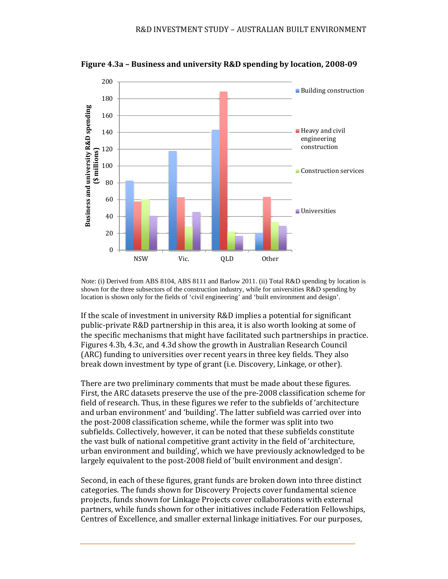

**Figure 4.3a – Business and university R&D spending by location, 2008‐09**

Note: (i) Derived from ABS 8104, ABS 8111 and Barlow 2011. (ii) Total R&D spending by location is shown for the three subsectors of the construction industry, while for universities R&D spending by location is shown only for the fields of 'civil engineering' and 'built environment and design'.

If the scale of investment in university  $R&D$  implies a potential for significant public-private R&D partnership in this area, it is also worth looking at some of the specific mechanisms that might have facilitated such partnerships in practice. Figures 4.3b, 4.3c, and 4.3d show the growth in Australian Research Council (ARC) funding to universities over recent years in three key fields. They also break down investment by type of grant (i.e. Discovery, Linkage, or other).

There are two preliminary comments that must be made about these figures. First, the ARC datasets preserve the use of the pre-2008 classification scheme for field of research. Thus, in these figures we refer to the subfields of 'architecture and urban environment' and 'building'. The latter subfield was carried over into the post-2008 classification scheme, while the former was split into two subfields. Collectively, however, it can be noted that these subfields constitute the vast bulk of national competitive grant activity in the field of 'architecture, urban environment and building', which we have previously acknowledged to be largely equivalent to the post-2008 field of 'built environment and design'.

Second, in each of these figures, grant funds are broken down into three distinct categories. The funds shown for Discovery Projects cover fundamental science projects, funds shown for Linkage Projects cover collaborations with external partners, while funds shown for other initiatives include Federation Fellowships, Centres of Excellence, and smaller external linkage initiatives. For our purposes,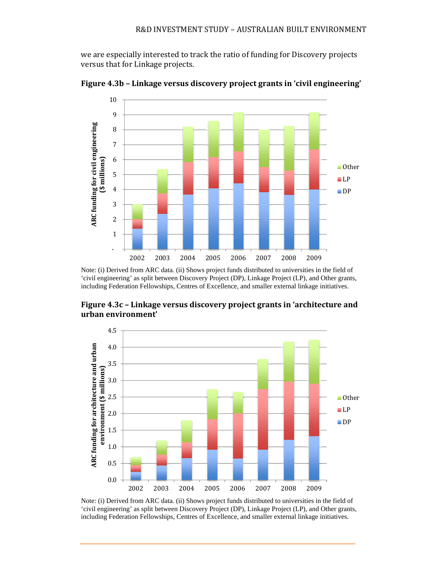we are especially interested to track the ratio of funding for Discovery projects versus that for Linkage projects.



**Figure 4.3b – Linkage versus discovery project grants in 'civil engineering'** 

Note: (i) Derived from ARC data. (ii) Shows project funds distributed to universities in the field of 'civil engineering' as split between Discovery Project (DP), Linkage Project (LP), and Other grants, including Federation Fellowships, Centres of Excellence, and smaller external linkage initiatives.



**Figure 4.3c – Linkage versus discovery project grants in 'architecture and urban environment'** 

Note: (i) Derived from ARC data. (ii) Shows project funds distributed to universities in the field of 'civil engineering' as split between Discovery Project (DP), Linkage Project (LP), and Other grants, including Federation Fellowships, Centres of Excellence, and smaller external linkage initiatives.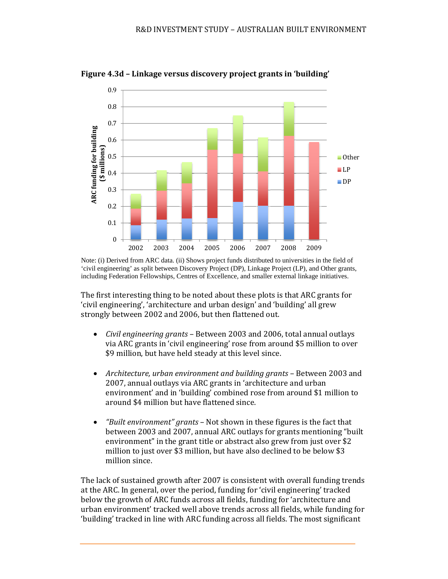

**Figure 4.3d – Linkage versus discovery project grants in 'building'** 

Note: (i) Derived from ARC data. (ii) Shows project funds distributed to universities in the field of 'civil engineering' as split between Discovery Project (DP), Linkage Project (LP), and Other grants, including Federation Fellowships, Centres of Excellence, and smaller external linkage initiatives.

The first interesting thing to be noted about these plots is that ARC grants for 'civil engineering', 'architecture and urban design' and 'building' all grew strongly between 2002 and 2006, but then flattened out.

- *Civil engineering grants* Between 2003 and 2006, total annual outlays via ARC grants in 'civil engineering' rose from around \$5 million to over \$9 million, but have held steady at this level since.
- Architecture, *urban environment and building grants* Between 2003 and 2007, annual outlays via ARC grants in 'architecture and urban environment' and in 'building' combined rose from around \$1 million to around \$4 million but have flattened since.
- "Built environment" grants Not shown in these figures is the fact that between 2003 and 2007, annual ARC outlays for grants mentioning "built" environment" in the grant title or abstract also grew from just over  $$2$ million to just over \$3 million, but have also declined to be below \$3 million since.

The lack of sustained growth after 2007 is consistent with overall funding trends at the ARC. In general, over the period, funding for 'civil engineering' tracked below the growth of ARC funds across all fields, funding for 'architecture and urban environment' tracked well above trends across all fields, while funding for 'building' tracked in line with ARC funding across all fields. The most significant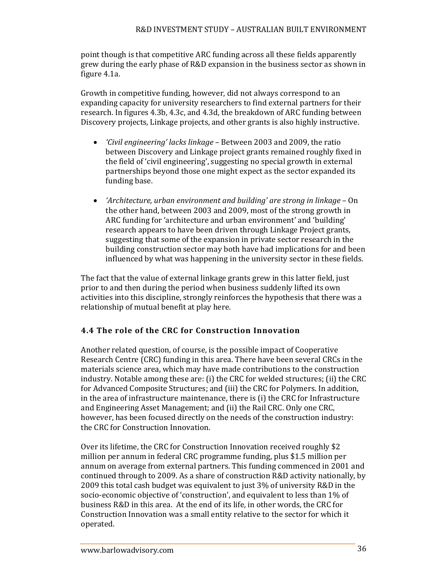#### R&D INVESTMENT STUDY - AUSTRALIAN BUILT ENVIRONMENT

point though is that competitive ARC funding across all these fields apparently grew during the early phase of R&D expansion in the business sector as shown in figure 4.1a.

Growth in competitive funding, however, did not always correspond to an expanding capacity for university researchers to find external partners for their research. In figures 4.3b, 4.3c, and 4.3d, the breakdown of ARC funding between Discovery projects, Linkage projects, and other grants is also highly instructive.

- *'Civil engineering' lacks linkage* Between 2003 and 2009, the ratio between Discovery and Linkage project grants remained roughly fixed in the field of 'civil engineering', suggesting no special growth in external partnerships beyond those one might expect as the sector expanded its funding base.
- *'Architecture, urban environment and building' are strong in linkage* – On the other hand, between 2003 and 2009, most of the strong growth in ARC funding for 'architecture and urban environment' and 'building' research appears to have been driven through Linkage Project grants, suggesting that some of the expansion in private sector research in the building construction sector may both have had implications for and been influenced by what was happening in the university sector in these fields.

The fact that the value of external linkage grants grew in this latter field, just prior to and then during the period when business suddenly lifted its own activities into this discipline, strongly reinforces the hypothesis that there was a relationship of mutual benefit at play here.

#### **4.4 The role of the CRC for Construction Innovation**

Another related question, of course, is the possible impact of Cooperative Research Centre (CRC) funding in this area. There have been several CRCs in the materials science area, which may have made contributions to the construction industry. Notable among these are:  $(i)$  the CRC for welded structures;  $(ii)$  the CRC for Advanced Composite Structures; and (iii) the CRC for Polymers. In addition, in the area of infrastructure maintenance, there is (i) the CRC for Infrastructure and Engineering Asset Management; and (ii) the Rail CRC. Only one CRC, however, has been focused directly on the needs of the construction industry: the CRC for Construction Innovation.

Over its lifetime, the CRC for Construction Innovation received roughly \$2 million per annum in federal CRC programme funding, plus \$1.5 million per annum on average from external partners. This funding commenced in 2001 and continued through to 2009. As a share of construction R&D activity nationally, by 2009 this total cash budget was equivalent to just 3% of university R&D in the socio-economic objective of 'construction', and equivalent to less than 1% of business R&D in this area. At the end of its life, in other words, the CRC for Construction Innovation was a small entity relative to the sector for which it operated.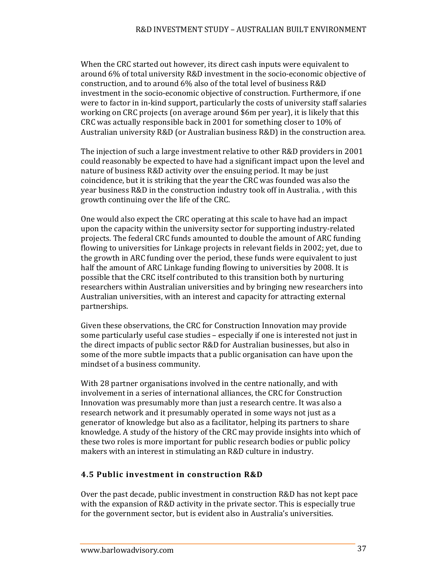When the CRC started out however, its direct cash inputs were equivalent to around 6% of total university R&D investment in the socio-economic objective of construction, and to around 6% also of the total level of business R&D investment in the socio-economic objective of construction. Furthermore, if one were to factor in in-kind support, particularly the costs of university staff salaries working on CRC projects (on average around \$6m per year), it is likely that this CRC was actually responsible back in 2001 for something closer to 10% of Australian university  $R&D$  (or Australian business  $R&D$ ) in the construction area.

The injection of such a large investment relative to other  $R&D$  providers in 2001 could reasonably be expected to have had a significant impact upon the level and nature of business R&D activity over the ensuing period. It may be just coincidence, but it is striking that the year the CRC was founded was also the year business  $R&D$  in the construction industry took off in Australia. , with this growth continuing over the life of the CRC.

One would also expect the CRC operating at this scale to have had an impact upon the capacity within the university sector for supporting industry-related projects. The federal CRC funds amounted to double the amount of ARC funding flowing to universities for Linkage projects in relevant fields in 2002; yet, due to the growth in ARC funding over the period, these funds were equivalent to just half the amount of ARC Linkage funding flowing to universities by 2008. It is possible that the CRC itself contributed to this transition both by nurturing researchers within Australian universities and by bringing new researchers into Australian universities, with an interest and capacity for attracting external partnerships. 

Given these observations, the CRC for Construction Innovation may provide some particularly useful case studies – especially if one is interested not just in the direct impacts of public sector R&D for Australian businesses, but also in some of the more subtle impacts that a public organisation can have upon the mindset of a business community.

With 28 partner organisations involved in the centre nationally, and with involvement in a series of international alliances, the CRC for Construction Innovation was presumably more than just a research centre. It was also a research network and it presumably operated in some ways not just as a generator of knowledge but also as a facilitator, helping its partners to share knowledge. A study of the history of the CRC may provide insights into which of these two roles is more important for public research bodies or public policy makers with an interest in stimulating an R&D culture in industry.

#### **4.5 Public investment in construction R&D**

Over the past decade, public investment in construction R&D has not kept pace with the expansion of R&D activity in the private sector. This is especially true for the government sector, but is evident also in Australia's universities.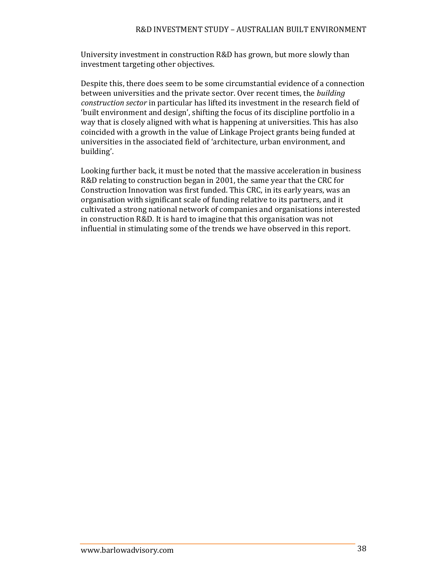University investment in construction R&D has grown, but more slowly than investment targeting other objectives.

Despite this, there does seem to be some circumstantial evidence of a connection between universities and the private sector. Over recent times, the *building construction sector* in particular has lifted its investment in the research field of 'built environment and design', shifting the focus of its discipline portfolio in a way that is closely aligned with what is happening at universities. This has also coincided with a growth in the value of Linkage Project grants being funded at universities in the associated field of 'architecture, urban environment, and building'. 

Looking further back, it must be noted that the massive acceleration in business R&D relating to construction began in 2001, the same year that the CRC for Construction Innovation was first funded. This CRC, in its early years, was an organisation with significant scale of funding relative to its partners, and it cultivated a strong national network of companies and organisations interested in construction R&D. It is hard to imagine that this organisation was not influential in stimulating some of the trends we have observed in this report.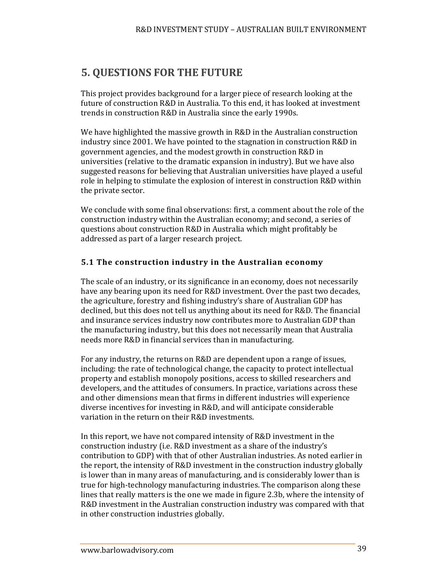# **5. QUESTIONS FOR THE FUTURE**

This project provides background for a larger piece of research looking at the future of construction R&D in Australia. To this end, it has looked at investment trends in construction R&D in Australia since the early 1990s.

We have highlighted the massive growth in R&D in the Australian construction industry since 2001. We have pointed to the stagnation in construction R&D in government agencies, and the modest growth in construction R&D in universities (relative to the dramatic expansion in industry). But we have also suggested reasons for believing that Australian universities have played a useful role in helping to stimulate the explosion of interest in construction R&D within the private sector.

We conclude with some final observations: first, a comment about the role of the construction industry within the Australian economy; and second, a series of questions about construction R&D in Australia which might profitably be addressed as part of a larger research project.

#### **5.1 The construction industry in the Australian economy**

The scale of an industry, or its significance in an economy, does not necessarily have any bearing upon its need for R&D investment. Over the past two decades, the agriculture, forestry and fishing industry's share of Australian GDP has declined, but this does not tell us anything about its need for R&D. The financial and insurance services industry now contributes more to Australian GDP than the manufacturing industry, but this does not necessarily mean that Australia needs more R&D in financial services than in manufacturing.

For any industry, the returns on R&D are dependent upon a range of issues, including: the rate of technological change, the capacity to protect intellectual property and establish monopoly positions, access to skilled researchers and developers, and the attitudes of consumers. In practice, variations across these and other dimensions mean that firms in different industries will experience diverse incentives for investing in R&D, and will anticipate considerable variation in the return on their R&D investments.

In this report, we have not compared intensity of R&D investment in the construction industry (i.e. R&D investment as a share of the industry's contribution to GDP) with that of other Australian industries. As noted earlier in the report, the intensity of R&D investment in the construction industry globally is lower than in many areas of manufacturing, and is considerably lower than is true for high-technology manufacturing industries. The comparison along these lines that really matters is the one we made in figure 2.3b, where the intensity of R&D investment in the Australian construction industry was compared with that in other construction industries globally.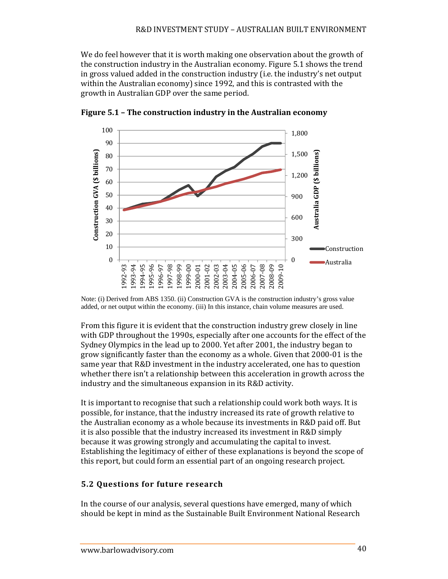We do feel however that it is worth making one observation about the growth of the construction industry in the Australian economy. Figure 5.1 shows the trend in gross valued added in the construction industry (i.e. the industry's net output within the Australian economy) since 1992, and this is contrasted with the growth in Australian GDP over the same period.



**Figure 5.1 – The construction industry in the Australian economy**

Note: (i) Derived from ABS 1350. (ii) Construction GVA is the construction industry's gross value added, or net output within the economy. (iii) In this instance, chain volume measures are used.

From this figure it is evident that the construction industry grew closely in line with GDP throughout the 1990s, especially after one accounts for the effect of the Sydney Olympics in the lead up to 2000. Yet after 2001, the industry began to grow significantly faster than the economy as a whole. Given that  $2000-01$  is the same year that R&D investment in the industry accelerated, one has to question whether there  $\text{isn't a relationship between this acceleration in growth across the}$ industry and the simultaneous expansion in its R&D activity.

It is important to recognise that such a relationship could work both ways. It is possible, for instance, that the industry increased its rate of growth relative to the Australian economy as a whole because its investments in R&D paid off. But it is also possible that the industry increased its investment in R&D simply because it was growing strongly and accumulating the capital to invest. Establishing the legitimacy of either of these explanations is beyond the scope of this report, but could form an essential part of an ongoing research project.

#### **5.2 Questions for future research**

In the course of our analysis, several questions have emerged, many of which should be kept in mind as the Sustainable Built Environment National Research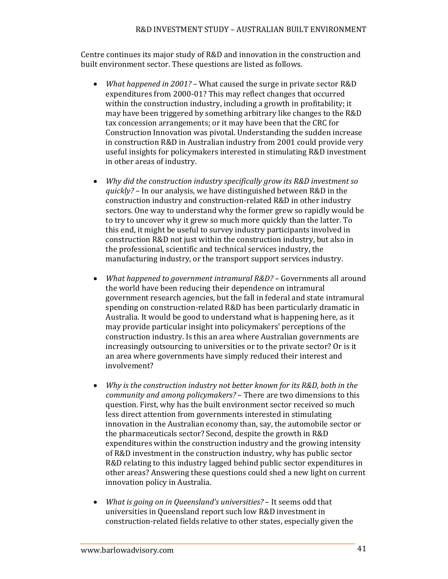Centre continues its major study of R&D and innovation in the construction and built environment sector. These questions are listed as follows.

- *What happened in 2001?* What caused the surge in private sector R&D expenditures from 2000-01? This may reflect changes that occurred within the construction industry, including a growth in profitability; it may have been triggered by something arbitrary like changes to the R&D tax concession arrangements; or it may have been that the CRC for Construction Innovation was pivotal. Understanding the sudden increase in construction R&D in Australian industry from 2001 could provide very useful insights for policymakers interested in stimulating R&D investment in other areas of industry.
- *Why did the construction industry specifically grow its R&D investment so quickly?* – In our analysis, we have distinguished between R&D in the construction industry and construction-related R&D in other industry sectors. One way to understand why the former grew so rapidly would be to try to uncover why it grew so much more quickly than the latter. To this end, it might be useful to survey industry participants involved in construction R&D not just within the construction industry, but also in the professional, scientific and technical services industry, the manufacturing industry, or the transport support services industry.
- *What happened to government intramural R&D?* – Governments all around the world have been reducing their dependence on intramural government research agencies, but the fall in federal and state intramural spending on construction-related R&D has been particularly dramatic in Australia. It would be good to understand what is happening here, as it may provide particular insight into policymakers' perceptions of the construction industry. Is this an area where Australian governments are increasingly outsourcing to universities or to the private sector? Or is it an area where governments have simply reduced their interest and involvement?
- *Why is the construction industry not better known for its R&D, both in the community and among policymakers*? – There are two dimensions to this question. First, why has the built environment sector received so much less direct attention from governments interested in stimulating innovation in the Australian economy than, say, the automobile sector or the pharmaceuticals sector? Second, despite the growth in R&D expenditures within the construction industry and the growing intensity of R&D investment in the construction industry, why has public sector R&D relating to this industry lagged behind public sector expenditures in other areas? Answering these questions could shed a new light on current innovation policy in Australia.
- *What is going on in Queensland's universities?* It seems odd that universities in Queensland report such low R&D investment in construction-related fields relative to other states, especially given the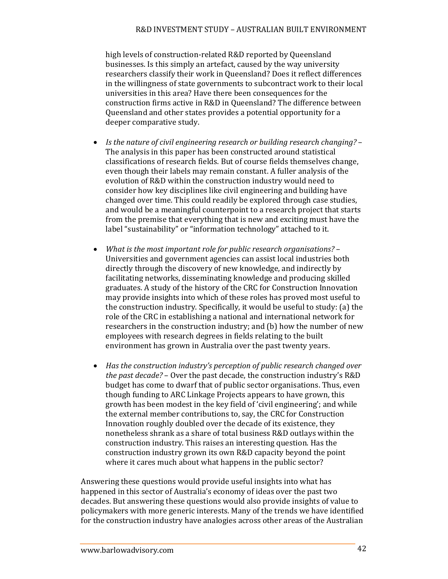#### R&D INVESTMENT STUDY - AUSTRALIAN BUILT ENVIRONMENT

high levels of construction-related R&D reported by Queensland businesses. Is this simply an artefact, caused by the way university researchers classify their work in Queensland? Does it reflect differences in the willingness of state governments to subcontract work to their local universities in this area? Have there been consequences for the construction firms active in R&D in Queensland? The difference between Queensland and other states provides a potential opportunity for a deeper comparative study.

- *Is the nature of civil engineering research or building research changing?* – The analysis in this paper has been constructed around statistical classifications of research fields. But of course fields themselves change, even though their labels may remain constant. A fuller analysis of the evolution of R&D within the construction industry would need to consider how key disciplines like civil engineering and building have changed over time. This could readily be explored through case studies, and would be a meaningful counterpoint to a research project that starts from the premise that everything that is new and exciting must have the label "sustainability" or "information technology" attached to it.
- *What is the most important role for public research organisations?* – Universities and government agencies can assist local industries both directly through the discovery of new knowledge, and indirectly by facilitating networks, disseminating knowledge and producing skilled graduates. A study of the history of the CRC for Construction Innovation may provide insights into which of these roles has proved most useful to the construction industry. Specifically, it would be useful to study: (a) the role of the CRC in establishing a national and international network for researchers in the construction industry; and (b) how the number of new employees with research degrees in fields relating to the built environment has grown in Australia over the past twenty years.
- *Has the construction industry's perception of public research changed over the past decade?* – Over the past decade, the construction industry's R&D budget has come to dwarf that of public sector organisations. Thus, even though funding to ARC Linkage Projects appears to have grown, this growth has been modest in the key field of 'civil engineering'; and while the external member contributions to, say, the CRC for Construction Innovation roughly doubled over the decade of its existence, they nonetheless shrank as a share of total business R&D outlays within the construction industry. This raises an interesting question. Has the construction industry grown its own R&D capacity beyond the point where it cares much about what happens in the public sector?

Answering these questions would provide useful insights into what has happened in this sector of Australia's economy of ideas over the past two decades. But answering these questions would also provide insights of value to policymakers with more generic interests. Many of the trends we have identified for the construction industry have analogies across other areas of the Australian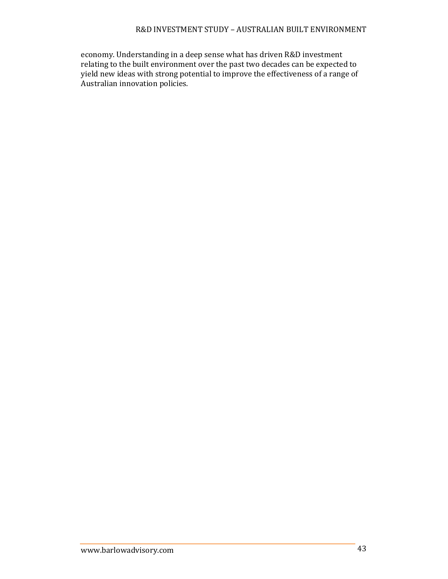#### R&D INVESTMENT STUDY - AUSTRALIAN BUILT ENVIRONMENT

economy. Understanding in a deep sense what has driven R&D investment relating to the built environment over the past two decades can be expected to yield new ideas with strong potential to improve the effectiveness of a range of  $\overline{\mathbf{A}}$ ustralian innovation policies.